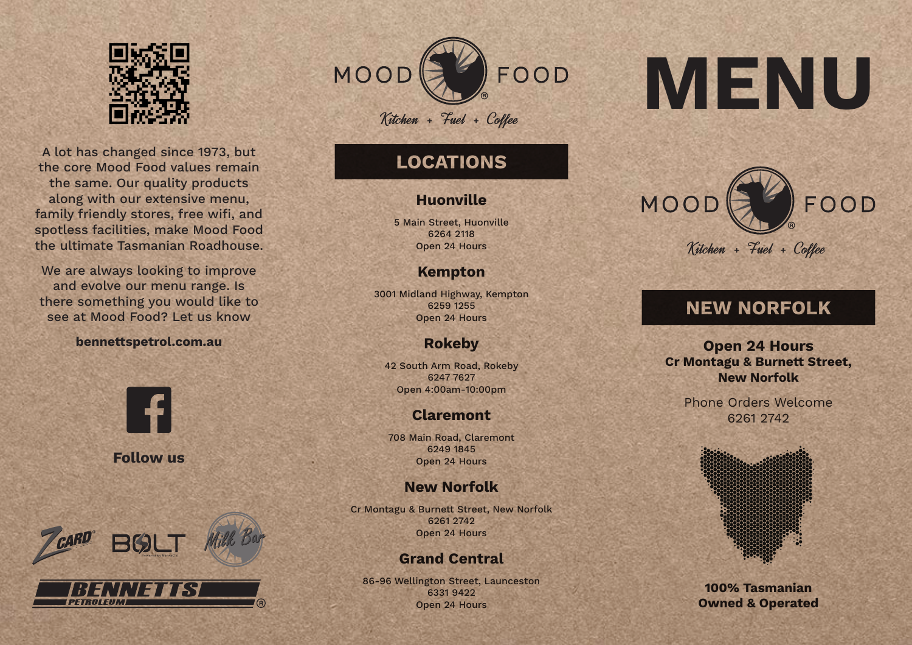

A lot has changed since 1973, but the core Mood Food values remain the same. Our quality products along with our extensive menu, family friendly stores, free wifi, and spotless facilities, make Mood Food the ultimate Tasmanian Roadhouse.

We are always looking to improve and evolve our menu range. Is there something you would like to see at Mood Food? Let us know

#### **bennettspetrol.com.au**



**Follow us**



PETROLEUM



# **LOCATIONS**

## **Huonville**

5 Main Street, Huonville 6264 2118 Open 24 Hours

## **Kempton**

3001 Midland Highway, Kempton 6259 1255 Open 24 Hours

## **Rokeby**

42 South Arm Road, Rokeby 6247 7627 Open 4:00am-10:00pm

## **Claremont**

708 Main Road, Claremont 6249 1845 Open 24 Hours

## **New Norfolk**

Cr Montagu & Burnett Street, New Norfolk 6261 2742 Open 24 Hours

## **Grand Central**

86-96 Wellington Street, Launceston 6331 9422 Open 24 Hours

# **MENU**



# **NEW NORFOLK**

**Open 24 Hours Cr Montagu & Burnett Street, New Norfolk**

> Phone Orders Welcome 6261 2742



**100% Tasmanian Owned & Operated**